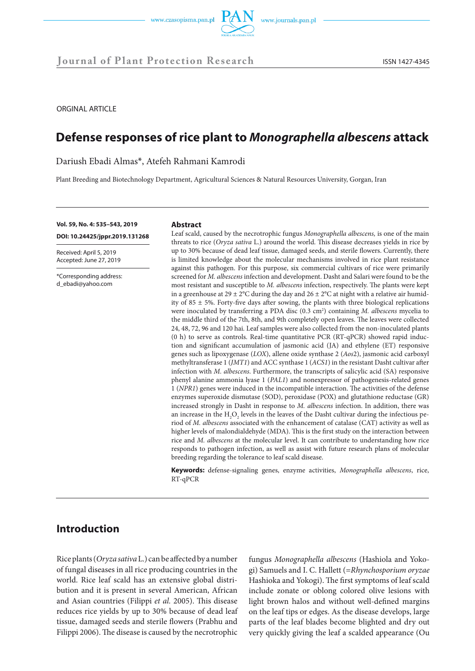



ORGINAL ARTICLE

# **Defense responses of rice plant to** *Monographella albescens* **attack**

Dariush Ebadi Almas\*, Atefeh Rahmani Kamrodi

Plant Breeding and Biotechnology Department, Agricultural Sciences & Natural Resources University, Gorgan, Iran

**Vol. 59, No. 4: 535–543, 2019** 

**DOI: 10.24425/jppr.2019.131268**

Received: April 5, 2019 Accepted: June 27, 2019

\*Corresponding address: d\_ebadi@yahoo.com

#### **Abstract**

Leaf scald, caused by the necrotrophic fungus *Monographella albescens,* is one of the main threats to rice (*Oryza sativa* L.) around the world. This disease decreases yields in rice by up to 30% because of dead leaf tissue, damaged seeds, and sterile flowers. Currently, there is limited knowledge about the molecular mechanisms involved in rice plant resistance against this pathogen. For this purpose, six commercial cultivars of rice were primarily screened for *M. albescens* infection and development. Dasht and Salari were found to be the most resistant and susceptible to *M. albescens* infection, respectively. The plants were kept in a greenhouse at 29  $\pm$  2°C during the day and 26  $\pm$  2°C at night with a relative air humidity of 85  $\pm$  5%. Forty-five days after sowing, the plants with three biological replications were inoculated by transferring a PDA disc (0.3 cm<sup>2</sup>) containing *M. albescens* mycelia to the middle third of the 7th, 8th, and 9th completely open leaves. The leaves were collected 24, 48, 72, 96 and 120 hai. Leaf samples were also collected from the non-inoculated plants (0 h) to serve as controls. Real-time quantitative PCR (RT-qPCR) showed rapid induction and significant accumulation of jasmonic acid (JA) and ethylene (ET) responsive genes such as lipoxygenase (*LOX*), allene oxide synthase 2 (*Aos*2), jasmonic acid carboxyl methyltransferase 1 (*JMT1*) and ACC synthase 1 (*ACS1*) in the resistant Dasht cultivar after infection with *M. albescens*. Furthermore, the transcripts of salicylic acid (SA) responsive phenyl alanine ammonia lyase 1 (*PAL1*) and nonexpressor of pathogenesis-related genes 1 (*NPR1*) genes were induced in the incompatible interaction. The activities of the defense enzymes superoxide dismutase (SOD), peroxidase (POX) and glutathione reductase (GR) increased strongly in Dasht in response to *M. albescens* infection. In addition, there was an increase in the  $\rm H_2O_2$  levels in the leaves of the Dasht cultivar during the infectious period of *M. albescens* associated with the enhancement of catalase (CAT) activity as well as higher levels of malondialdehyde (MDA). This is the first study on the interaction between rice and *M. albescens* at the molecular level. It can contribute to understanding how rice responds to pathogen infection, as well as assist with future research plans of molecular breeding regarding the tolerance to leaf scald disease.

**Keywords:** defense-signaling genes, enzyme activities, *Monographella albescens*, rice, RT-qPCR

## **Introduction**

Rice plants (*Oryza sativa* L.) can be affected by a number of fungal diseases in all rice producing countries in the world. Rice leaf scald has an extensive global distribution and it is present in several American, African and Asian countries (Filippi *et al.* 2005). This disease reduces rice yields by up to 30% because of dead leaf tissue, damaged seeds and sterile flowers (Prabhu and Filippi 2006). The disease is caused by the necrotrophic

fungus *Monographella albescens* (Hashiola and Yokogi) Samuels and I. C. Hallett (=*Rhynchosporium oryzae*  Hashioka and Yokogi). The first symptoms of leaf scald include zonate or oblong colored olive lesions with light brown halos and without well-defined margins on the leaf tips or edges. As the disease develops, large parts of the leaf blades become blighted and dry out very quickly giving the leaf a scalded appearance (Ou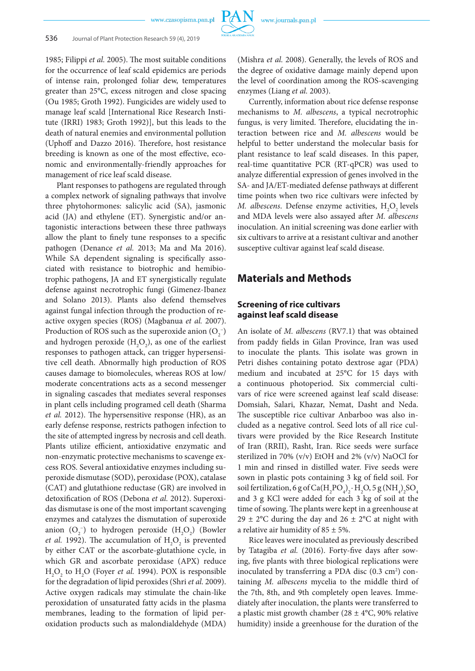

1985; Filippi *et al.* 2005). The most suitable conditions for the occurrence of leaf scald epidemics are periods of intense rain, prolonged foliar dew, temperatures greater than 25°C, excess nitrogen and close spacing (Ou 1985; Groth 1992). Fungicides are widely used to manage leaf scald [International Rice Research Institute (IRRI) 1983; Groth 1992)], but this leads to the death of natural enemies and environmental pollution (Uphoff and Dazzo 2016). Therefore, host resistance breeding is known as one of the most effective, economic and environmentally-friendly approaches for management of rice leaf scald disease.

Plant responses to pathogens are regulated through a complex network of signaling pathways that involve three phytohormones: salicylic acid (SA), jasmonic acid (JA) and ethylene (ET). Synergistic and/or antagonistic interactions between these three pathways allow the plant to finely tune responses to a specific pathogen (Denance *et al.* 2013; Ma and Ma 2016). While SA dependent signaling is specifically associated with resistance to biotrophic and hemibiotrophic pathogens, JA and ET synergistically regulate defense against necrotrophic fungi (Gimenez-Ibanez and Solano 2013). Plants also defend themselves against fungal infection through the production of reactive oxygen species (ROS) (Magbanua *et al.* 2007). Production of ROS such as the superoxide anion (O<sub>2</sub><sup>-</sup>) and hydrogen peroxide  $(H_2O_2)$ , as one of the earliest responses to pathogen attack, can trigger hypersensitive cell death. Abnormally high production of ROS causes damage to biomolecules, whereas ROS at low/ moderate concentrations acts as a second messenger in signaling cascades that mediates several responses in plant cells including programed cell death (Sharma *et al.* 2012). The hypersensitive response (HR), as an early defense response, restricts pathogen infection to the site of attempted ingress by necrosis and cell death. Plants utilize efficient, antioxidative enzymatic and non-enzymatic protective mechanisms to scavenge excess ROS. Several antioxidative enzymes including superoxide dismutase (SOD), peroxidase (POX), catalase (CAT) and glutathione reductase (GR) are involved in detoxification of ROS (Debona *et al.* 2012). Superoxidas dismutase is one of the most important scavenging enzymes and catalyzes the dismutation of superoxide anion  $(O_2^-)$  to hydrogen peroxide  $(H_2O_2)$  (Bowler *et al.* 1992). The accumulation of  $H_2O_2$  is prevented by either CAT or the ascorbate-glutathione cycle, in which GR and ascorbate peroxidase (APX) reduce H2 O2 to H2 O (Foyer *et al.* 1994). POX is responsible for the degradation of lipid peroxides (Shri *et al.* 2009). Active oxygen radicals may stimulate the chain-like peroxidation of unsaturated fatty acids in the plasma membranes, leading to the formation of lipid peroxidation products such as malondialdehyde (MDA)

(Mishra *et al.* 2008). Generally, the levels of ROS and the degree of oxidative damage mainly depend upon the level of coordination among the ROS-scavenging enzymes (Liang *et al.* 2003).

Currently, information about rice defense response mechanisms to *M. albescens*, a typical necrotrophic fungus, is very limited. Therefore, elucidating the interaction between rice and *M. albescens* would be helpful to better understand the molecular basis for plant resistance to leaf scald diseases. In this paper, real-time quantitative PCR (RT-qPCR) was used to analyze differential expression of genes involved in the SA- and JA/ET-mediated defense pathways at different time points when two rice cultivars were infected by *M. albescens.* Defense enzyme activities,  $H_2O_2$  levels and MDA levels were also assayed after *M. albescens* inoculation. An initial screening was done earlier with six cultivars to arrive at a resistant cultivar and another susceptive cultivar against leaf scald disease.

## **Materials and Methods**

## **Screening of rice cultivars against leaf scald disease**

An isolate of *M. albescens* (RV7.1) that was obtained from paddy fields in Gilan Province, Iran was used to inoculate the plants. This isolate was grown in Petri dishes containing potato dextrose agar (PDA) medium and incubated at 25°C for 15 days with a continuous photoperiod. Six commercial cultivars of rice were screened against leaf scald disease: Domsiah, Salari, Khazar, Nemat, Dasht and Neda. The susceptible rice cultivar Anbarboo was also included as a negative control. Seed lots of all rice cultivars were provided by the Rice Research Institute of Iran (RRII), Rasht, Iran. Rice seeds were surface sterilized in 70% (v/v) EtOH and 2% (v/v) NaOCl for 1 min and rinsed in distilled water. Five seeds were sown in plastic pots containing 3 kg of field soil. For soil fertilization, 6 g of Ca $(\text{H}_{2}\text{PO}_{4})_{2} \cdot \text{H}_{2}\text{O}$ , 5 g (NH<sub>4</sub>)<sub>2</sub>SO<sub>4</sub> and 3 g KCl were added for each 3 kg of soil at the time of sowing. The plants were kept in a greenhouse at 29  $\pm$  2°C during the day and 26  $\pm$  2°C at night with a relative air humidity of  $85 \pm 5\%$ .

Rice leaves were inoculated as previously described by Tatagiba *et al.* (2016). Forty-five days after sowing, five plants with three biological replications were inoculated by transferring a PDA disc (0.3 cm<sup>2</sup>) containing *M. albescens* mycelia to the middle third of the 7th, 8th, and 9th completely open leaves. Immediately after inoculation, the plants were transferred to a plastic mist growth chamber ( $28 \pm 4$ °C, 90% relative humidity) inside a greenhouse for the duration of the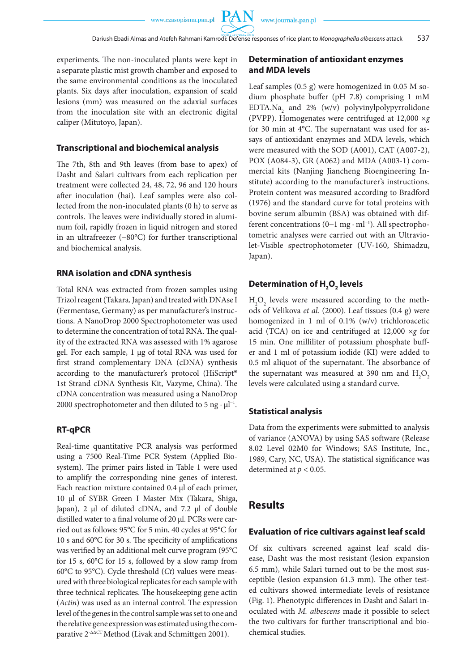**PAN** 

experiments. The non-inoculated plants were kept in a separate plastic mist growth chamber and exposed to the same environmental conditions as the inoculated plants. Six days after inoculation, expansion of scald lesions (mm) was measured on the adaxial surfaces from the inoculation site with an electronic digital caliper (Mitutoyo, Japan).

### **Transcriptional and biochemical analysis**

The 7th, 8th and 9th leaves (from base to apex) of Dasht and Salari cultivars from each replication per treatment were collected 24, 48, 72, 96 and 120 hours after inoculation (hai). Leaf samples were also collected from the non-inoculated plants (0 h) to serve as controls. The leaves were individually stored in aluminum foil, rapidly frozen in liquid nitrogen and stored in an ultrafreezer (−80°C) for further transcriptional and biochemical analysis.

#### **RNA isolation and cDNA synthesis**

Total RNA was extracted from frozen samples using Trizol reagent (Takara, Japan) and treated with DNAse I (Fermentase, Germany) as per manufacturer's instructions. A NanoDrop 2000 Spectrophotometer was used to determine the concentration of total RNA. The quality of the extracted RNA was assessed with 1% agarose gel. For each sample, 1 μg of total RNA was used for first strand complementary DNA (cDNA) synthesis according to the manufacturer's protocol (HiScript® 1st Strand cDNA Synthesis Kit, Vazyme, China). The cDNA concentration was measured using a NanoDrop 2000 spectrophotometer and then diluted to 5 ng  $\cdot \mu l^{-1}$ .

### **RT-qPCR**

Real-time quantitative PCR analysis was performed using a 7500 Real-Time PCR System (Applied Biosystem). The primer pairs listed in Table 1 were used to amplify the corresponding nine genes of interest. Each reaction mixture contained 0.4 μl of each primer, 10 μl of SYBR Green I Master Mix (Takara, Shiga, Japan), 2 μl of diluted cDNA, and 7.2 μl of double distilled water to a final volume of 20 μl. PCRs were carried out as follows: 95°C for 5 min, 40 cycles at 95°C for 10 s and 60°C for 30 s. The specificity of amplifications was verified by an additional melt curve program (95°C for 15 s, 60°C for 15 s, followed by a slow ramp from 60°C to 95°C). Cycle threshold (*Ct*) values were measured with three biological replicates for each sample with three technical replicates. The housekeeping gene actin (*Actin*) was used as an internal control. The expression level of the genes in the control sample was set to one and the relative gene expression was estimated using the comparative 2-ΔΔCT Method (Livak and Schmittgen 2001).

## **Determination of antioxidant enzymes and MDA levels**

Leaf samples (0.5 g) were homogenized in 0.05 M sodium phosphate buffer (pH 7.8) comprising 1 mM  $EDTA.Na_2$  and 2% (w/v) polyvinylpolypyrrolidone (PVPP). Homogenates were centrifuged at 12,000 ×*g* for 30 min at 4°C. The supernatant was used for assays of antioxidant enzymes and MDA levels, which were measured with the SOD (A001), CAT (A007-2), POX (A084-3), GR (A062) and MDA (A003-1) commercial kits (Nanjing Jiancheng Bioengineering Institute) according to the manufacturer's instructions. Protein content was measured according to Bradford (1976) and the standard curve for total proteins with bovine serum albumin (BSA) was obtained with different concentrations (0−1 mg · ml<sup>−</sup><sup>1</sup> ). All spectrophotometric analyses were carried out with an Ultraviolet-Visible spectrophotometer (UV-160, Shimadzu, Japan).

## Determination of **H**<sub>2</sub>O<sub>2</sub> levels

 $H_2O_2$  levels were measured according to the methods of Velikova *et al.* (2000). Leaf tissues (0.4 g) were homogenized in 1 ml of 0.1% (w/v) trichloroacetic acid (TCA) on ice and centrifuged at 12,000 ×*g* for 15 min. One milliliter of potassium phosphate buffer and 1 ml of potassium iodide (KI) were added to 0.5 ml aliquot of the supernatant. The absorbance of the supernatant was measured at 390 nm and  $H_2O_2$ levels were calculated using a standard curve.

### **Statistical analysis**

Data from the experiments were submitted to analysis of variance (ANOVA) by using SAS software (Release 8.02 Level 02M0 for Windows; SAS Institute, Inc., 1989, Cary, NC, USA). The statistical significance was determined at  $p < 0.05$ .

## **Results**

#### **Evaluation of rice cultivars against leaf scald**

Of six cultivars screened against leaf scald disease, Dasht was the most resistant (lesion expansion 6.5 mm), while Salari turned out to be the most susceptible (lesion expansion 61.3 mm). The other tested cultivars showed intermediate levels of resistance (Fig. 1). Phenotypic differences in Dasht and Salari inoculated with *M. albescens* made it possible to select the two cultivars for further transcriptional and biochemical studies.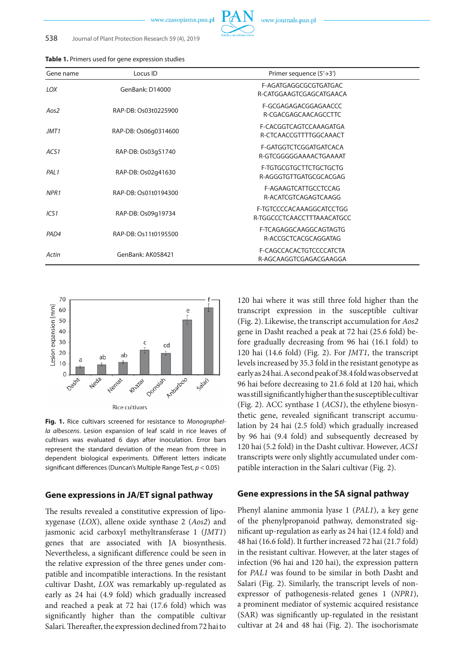

## 538 Journal of Plant Protection Research 59 (4), 2019

#### **Table 1.** Primers used for gene expression studies

| Gene name        | Locus ID             | Primer sequence $(5' \rightarrow 3')$                  |
|------------------|----------------------|--------------------------------------------------------|
| LOX              | GenBank: D14000      | F-AGATGAGGCGCGTGATGAC<br>R-CATGGAAGTCGAGCATGAACA       |
| Aos2             | RAP-DB: Os03t0225900 | F-GCGAGAGACGGAGAACCC<br>R-CGACGAGCAACAGCCTTC           |
| JMT1             | RAP-DB: Os06q0314600 | F-CACGGTCAGTCCAAAGATGA<br>R-CTCAACCGTTTTGGCAAACT       |
| ACS <sub>1</sub> | RAP-DB: Os03g51740   | F-GATGGTCTCGGATGATCACA<br>R-GTCGGGGGAAAACTGAAAAT       |
| PAL <sub>1</sub> | RAP-DB: Os02g41630   | F-TGTGCGTGCTTCTGCTGCTG<br>R-AGGGTGTTGATGCGCACGAG       |
| NPR <sub>1</sub> | RAP-DB: Os01t0194300 | F-AGAAGTCATTGCCTCCAG<br>R-ACATCGTCAGAGTCAAGG           |
| ICS1             | RAP-DB: Os09q19734   | F-TGTCCCCACAAAGGCATCCTGG<br>R-TGGCCCTCAACCTTTAAACATGCC |
| PAD4             | RAP-DB: Os11t0195500 | F-TCAGAGGCAAGGCAGTAGTG<br>R-ACCGCTCACGCAGGATAG         |
| Actin            | GenBank: AK058421    | F-CAGCCACACTGTCCCCATCTA<br>R-AGCAAGGTCGAGACGAAGGA      |



**Fig. 1.** Rice cultivars screened for resistance to *Monographella albescens*. Lesion expansion of leaf scald in rice leaves of cultivars was evaluated 6 days after inoculation. Error bars represent the standard deviation of the mean from three in dependent biological experiments. Different letters indicate significant differences (Duncan's Multiple Range Test, *p* < 0.05)

### **Gene expressions in JA/ET signal pathway**

The results revealed a constitutive expression of lipoxygenase (*LOX*), allene oxide synthase 2 (*Aos2*) and jasmonic acid carboxyl methyltransferase 1 (*JMT1*) genes that are associated with JA biosynthesis. Nevertheless, a significant difference could be seen in the relative expression of the three genes under compatible and incompatible interactions. In the resistant cultivar Dasht, *LOX* was remarkably up-regulated as early as 24 hai (4.9 fold) which gradually increased and reached a peak at 72 hai (17.6 fold) which was significantly higher than the compatible cultivar Salari. Thereafter, the expression declined from 72 hai to

120 hai where it was still three fold higher than the transcript expression in the susceptible cultivar (Fig. 2). Likewise, the transcript accumulation for *Aos2* gene in Dasht reached a peak at 72 hai (25.6 fold) before gradually decreasing from 96 hai (16.1 fold) to 120 hai (14.6 fold) (Fig. 2). For *JMT1*, the transcript levels increased by 35.3 fold in the resistant genotype as early as 24 hai. A second peak of 38.4 fold was observed at 96 hai before decreasing to 21.6 fold at 120 hai, which was still significantly higher than the susceptible cultivar (Fig. 2). ACC synthase 1 (*ACS1*), the ethylene biosynthetic gene, revealed significant transcript accumulation by 24 hai (2.5 fold) which gradually increased by 96 hai (9.4 fold) and subsequently decreased by 120 hai (5.2 fold) in the Dasht cultivar. However, *ACS1* transcripts were only slightly accumulated under compatible interaction in the Salari cultivar (Fig. 2).

### **Gene expressions in the SA signal pathway**

Phenyl alanine ammonia lyase 1 (*PAL1*), a key gene of the phenylpropanoid pathway, demonstrated significant up-regulation as early as 24 hai (12.4 fold) and 48 hai (16.6 fold). It further increased 72 hai (21.7 fold) in the resistant cultivar. However, at the later stages of infection (96 hai and 120 hai), the expression pattern for *PAL1* was found to be similar in both Dasht and Salari (Fig. 2). Similarly, the transcript levels of nonexpressor of pathogenesis-related genes 1 (*NPR1*), a prominent mediator of systemic acquired resistance (SAR) was significantly up-regulated in the resistant cultivar at 24 and 48 hai (Fig. 2). The isochorismate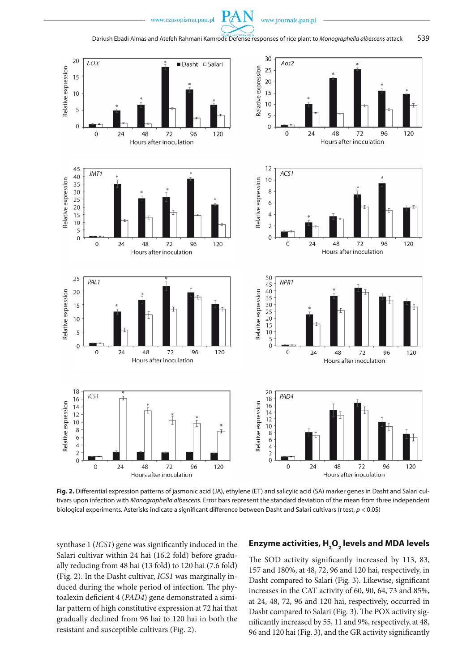

**Fig. 2.** Differential expression patterns of jasmonic acid (JA), ethylene (ET) and salicylic acid (SA) marker genes in Dasht and Salari cultivars upon infection with *Monographella albescens.* Error bars represent the standard deviation of the mean from three independent biological experiments. Asterisks indicate a significant difference between Dasht and Salari cultivars (*t* test, *p* < 0.05)

synthase 1 (*ICS1*) gene was significantly induced in the Salari cultivar within 24 hai (16.2 fold) before gradually reducing from 48 hai (13 fold) to 120 hai (7.6 fold) (Fig. 2). In the Dasht cultivar, *ICS1* was marginally induced during the whole period of infection. The phytoalexin deficient 4 (*PAD4*) gene demonstrated a similar pattern of high constitutive expression at 72 hai that gradually declined from 96 hai to 120 hai in both the resistant and susceptible cultivars (Fig. 2).

## **Enzyme activities, H2 O2 levels and MDA levels**

The SOD activity significantly increased by 113, 83, 157 and 180%, at 48, 72, 96 and 120 hai, respectively, in Dasht compared to Salari (Fig. 3). Likewise, significant increases in the CAT activity of 60, 90, 64, 73 and 85%, at 24, 48, 72, 96 and 120 hai, respectively, occurred in Dasht compared to Salari (Fig. 3). The POX activity significantly increased by 55, 11 and 9%, respectively, at 48, 96 and 120 hai (Fig. 3), and the GR activity significantly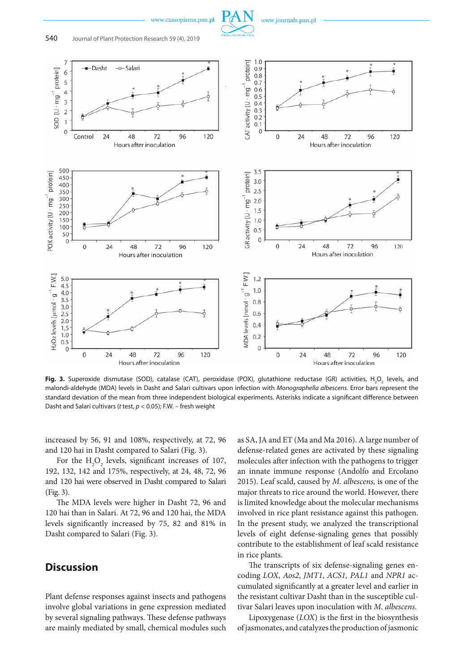





**Fig. 3.** Superoxide dismutase (SOD), catalase (CAT), peroxidase (POX), glutathione reductase (GR) activities, H<sub>2</sub>O<sub>2</sub> levels, and malondi-aldehyde (MDA) levels in Dasht and Salari cultivars upon infection with *Monographella albescens*. Error bars represent the standard deviation of the mean from three independent biological experiments. Asterisks indicate a significant difference between Dasht and Salari cultivars (*t* test, *p* < 0.05); F.W. – fresh weight

increased by 56, 91 and 108%, respectively, at 72, 96 and 120 hai in Dasht compared to Salari (Fig. 3).

For the  $H_2O_2$  levels, significant increases of 107, 192, 132, 142 and 175%, respectively, at 24, 48, 72, 96 and 120 hai were observed in Dasht compared to Salari (Fig. 3).

The MDA levels were higher in Dasht 72, 96 and 120 hai than in Salari. At 72, 96 and 120 hai, the MDA levels significantly increased by 75, 82 and 81% in Dasht compared to Salari (Fig. 3).

# **Discussion**

Plant defense responses against insects and pathogens involve global variations in gene expression mediated by several signaling pathways. These defense pathways are mainly mediated by small, chemical modules such as SA, JA and ET (Ma and Ma 2016). A large number of defense-related genes are activated by these signaling molecules after infection with the pathogens to trigger an innate immune response (Andolfo and Ercolano 2015). Leaf scald, caused by *M. albescens,* is one of the major threats to rice around the world. However, there is limited knowledge about the molecular mechanisms involved in rice plant resistance against this pathogen. In the present study, we analyzed the transcriptional levels of eight defense-signaling genes that possibly contribute to the establishment of leaf scald resistance in rice plants.

The transcripts of six defense-signaling genes encoding *LOX*, *Aos2*, *JMT1*, *ACS1, PAL1* and *NPR1* accumulated significantly at a greater level and earlier in the resistant cultivar Dasht than in the susceptible cultivar Salari leaves upon inoculation with *M. albescens*.

Lipoxygenase (*LOX*) is the first in the biosynthesis of jasmonates, and catalyzes the production of jasmonic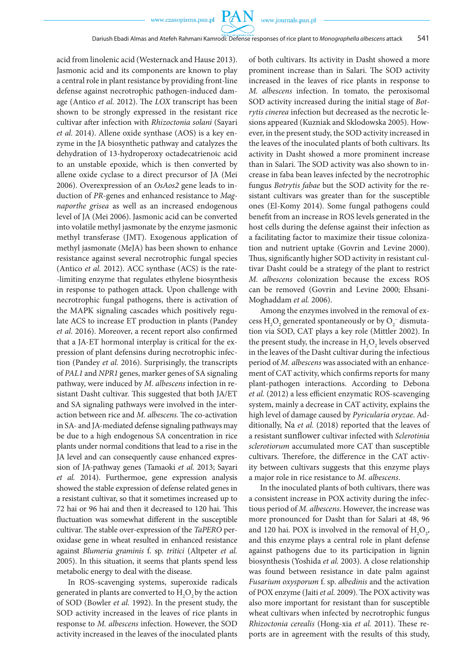**PAN** 

acid from linolenic acid (Westernack and Hause 2013). Jasmonic acid and its components are known to play a central role in plant resistance by providing front-line defense against necrotrophic pathogen-induced damage (Antico *et al.* 2012). The *LOX* transcript has been shown to be strongly expressed in the resistant rice cultivar after infection with *Rhizoctonia solani* (Sayari *et al.* 2014). Allene oxide synthase (AOS) is a key enzyme in the JA biosynthetic pathway and catalyzes the dehydration of 13-hydroperoxy octadecatrienoic acid to an unstable epoxide, which is then converted by allene oxide cyclase to a direct precursor of JA (Mei 2006). Overexpression of an *OsAos2* gene leads to induction of *PR*-genes and enhanced resistance to *Magnaporthe grisea* as well as an increased endogenous level of JA (Mei 2006). Jasmonic acid can be converted into volatile methyl jasmonate by the enzyme jasmonic methyl transferase (JMT). Exogenous application of methyl jasmonate (MeJA) has been shown to enhance resistance against several necrotrophic fungal species (Antico *et al.* 2012). ACC synthase (ACS) is the rate- -limiting enzyme that regulates ethylene biosynthesis in response to pathogen attack. Upon challenge with necrotrophic fungal pathogens, there is activation of the MAPK signaling cascades which positively regulate ACS to increase ET production in plants (Pandey *et al.* 2016). Moreover, a recent report also confirmed that a JA-ET hormonal interplay is critical for the expression of plant defensins during necrotrophic infection (Pandey *et al.* 2016). Surprisingly, the transcripts of *PAL1* and *NPR1* genes, marker genes of SA signaling pathway, were induced by *M. albescens* infection in resistant Dasht cultivar. This suggested that both JA/ET and SA signaling pathways were involved in the interaction between rice and *M. albescens.* The co-activation in SA- and JA-mediated defense signaling pathways may be due to a high endogenous SA concentration in rice plants under normal conditions that lead to a rise in the JA level and can consequently cause enhanced expression of JA-pathway genes (Tamaoki *et al.* 2013; Sayari *et al.* 2014). Furthermoe, gene expression analysis showed the stable expression of defense related genes in a resistant cultivar, so that it sometimes increased up to 72 hai or 96 hai and then it decreased to 120 hai. This fluctuation was somewhat different in the susceptible cultivar. The stable over-expression of the *TaPERO* peroxidase gene in wheat resulted in enhanced resistance against *Blumeria graminis* f. sp. *tritici* (Altpeter *et al.*  2005). In this situation, it seems that plants spend less metabolic energy to deal with the disease.

In ROS-scavenging systems, superoxide radicals generated in plants are converted to  $H_2O_2$  by the action of SOD (Bowler *et al.* 1992). In the present study, the SOD activity increased in the leaves of rice plants in response to *M. albescens* infection. However, the SOD activity increased in the leaves of the inoculated plants

of both cultivars. Its activity in Dasht showed a more prominent increase than in Salari. The SOD activity increased in the leaves of rice plants in response to *M. albescens* infection. In tomato, the peroxisomal SOD activity increased during the initial stage of *Botrytis cinerea* infection but decreased as the necrotic lesions appeared (Kuzniak and Sklodowska 2005). However, in the present study, the SOD activity increased in the leaves of the inoculated plants of both cultivars. Its activity in Dasht showed a more prominent increase than in Salari. The SOD activity was also shown to increase in faba bean leaves infected by the necrotrophic fungus *Botrytis fabae* but the SOD activity for the resistant cultivars was greater than for the susceptible ones (El-Komy 2014). Some fungal pathogens could benefit from an increase in ROS levels generated in the host cells during the defense against their infection as a facilitating factor to maximize their tissue colonization and nutrient uptake (Govrin and Levine 2000). Thus, significantly higher SOD activity in resistant cultivar Dasht could be a strategy of the plant to restrict *M. albescens* colonization because the excess ROS can be removed (Govrin and Levine 2000; Ehsani-Moghaddam *et al.* 2006).

Among the enzymes involved in the removal of excess  $H_2O_2$  generated spontaneously or by  $O_2^-$  dismutation via SOD, CAT plays a key role (Mittler 2002). In the present study, the increase in  $\rm{H}_{2}\rm{O}_{2}$  levels observed in the leaves of the Dasht cultivar during the infectious period of *M. albescens* was associated with an enhancement of CAT activity, which confirms reports for many plant-pathogen interactions. According to Debona *et al.* (2012) a less efficient enzymatic ROS-scavenging system, mainly a decrease in CAT activity, explains the high level of damage caused by *Pyricularia oryzae*. Additionally, Na *et al.* (2018) reported that the leaves of a resistant sunflower cultivar infected with *Sclerotinia sclerotiorum* accumulated more CAT than susceptible cultivars. Therefore, the difference in the CAT activity between cultivars suggests that this enzyme plays a major role in rice resistance to *M. albescens*.

In the inoculated plants of both cultivars, there was a consistent increase in POX activity during the infectious period of *M. albescens*. However, the increase was more pronounced for Dasht than for Salari at 48, 96 and 120 hai. POX is involved in the removal of  $H_2O_2$ , and this enzyme plays a central role in plant defense against pathogens due to its participation in lignin biosynthesis (Yoshida *et al.* 2003). A close relationship was found between resistance in date palm against *Fusarium oxysporum* f. sp. *albedinis* and the activation of POX enzyme (Jaiti *et al.* 2009). The POX activity was also more important for resistant than for susceptible wheat cultivars when infected by necrotrophic fungus *Rhizoctonia cerealis* (Hong-xia *et al.* 2011). These reports are in agreement with the results of this study,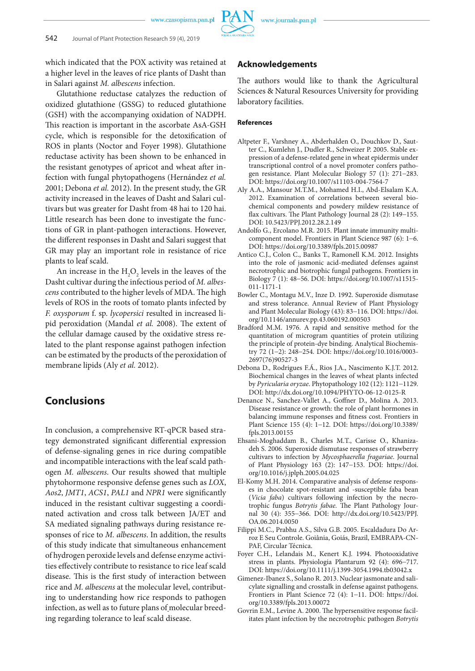which indicated that the POX activity was retained at a higher level in the leaves of rice plants of Dasht than in Salari against *M. albescens* infection.

Glutathione reductase catalyzes the reduction of oxidized glutathione (GSSG) to reduced glutathione (GSH) with the accompanying oxidation of NADPH. This reaction is important in the ascorbate AsA-GSH cycle, which is responsible for the detoxification of ROS in plants (Noctor and Foyer 1998). Glutathione reductase activity has been shown to be enhanced in the resistant genotypes of apricot and wheat after infection with fungal phytopathogens (Hernández *et al.* 2001; Debona *et al.* 2012). In the present study, the GR activity increased in the leaves of Dasht and Salari cultivars but was greater for Dasht from 48 hai to 120 hai. Little research has been done to investigate the functions of GR in plant-pathogen interactions. However, the different responses in Dasht and Salari suggest that GR may play an important role in resistance of rice plants to leaf scald.

An increase in the  $H_2O_2$  levels in the leaves of the Dasht cultivar during the infectious period of *M. albescens* contributed to the higher levels of MDA. The high levels of ROS in the roots of tomato plants infected by *F. oxysporum* f. sp. *lycopersici* resulted in increased lipid peroxidation (Mandal *et al.* 2008). The extent of the cellular damage caused by the oxidative stress related to the plant response against pathogen infection can be estimated by the products of the peroxidation of membrane lipids (Aly *et al.* 2012).

## **Conclusions**

In conclusion, a comprehensive RT-qPCR based strategy demonstrated significant differential expression of defense-signaling genes in rice during compatible and incompatible interactions with the leaf scald pathogen *M. albescens*. Our results showed that multiple phytohormone responsive defense genes such as *LOX*, *Aos2*, *JMT1*, *ACS1*, *PAL1* and *NPR1* were significantly induced in the resistant cultivar suggesting a coordinated activation and cross talk between JA/ET and SA mediated signaling pathways during resistance responses of rice to *M. albescens*. In addition, the results of this study indicate that simultaneous enhancement of hydrogen peroxide levels and defense enzyme activities effectively contribute to resistance to rice leaf scald disease. This is the first study of interaction between rice and *M. albescens* at the molecular level, contributing to understanding how rice responds to pathogen infection, as well as to future plans of molecular breeding regarding tolerance to leaf scald disease.

## **Acknowledgements**

The authors would like to thank the Agricultural Sciences & Natural Resources University for providing laboratory facilities.

#### **References**

- Altpeter F., Varshney A., Abderhalden O., Douchkov D., Sautter C., Kumlehn J., Dudler R., Schweizer P. 2005. Stable expression of a defense-related gene in wheat epidermis under transcriptional control of a novel promoter confers pathogen resistance. Plant Molecular Biology 57 (1): 271−283. DOI: https://doi.org/10.1007/s11103-004-7564-7
- Aly A.A., Mansour M.T.M., Mohamed H.I., Abd-Elsalam K.A. 2012. Examination of correlations between several biochemical components and powdery mildew resistance of flax cultivars. The Plant Pathology Journal 28 (2): 149−155. DOI: 10.5423/PPJ.2012.28.2.149
- Andolfo G., Ercolano M.R. 2015. Plant innate immunity multicomponent model. Frontiers in Plant Science 987 (6): 1−6. DOI: https://doi.org/10.3389/fpls.2015.00987
- Antico C.J., Colon C., Banks T., Ramonell K.M. 2012. Insights into the role of jasmonic acid-mediated defenses against necrotrophic and biotrophic fungal pathogens. Frontiers in Biology 7 (1): 48−56. DOI: https://doi.org/10.1007/s11515- 011-1171-1
- Bowler C., Montagu M.V., Inze D. 1992. Superoxide dismutase and stress tolerance. Annual Review of Plant Physiology and Plant Molecular Biology (43): 83−116. DOI: https://doi. org/10.1146/annurev.pp.43.060192.000503
- Bradford M.M. 1976. A rapid and sensitive method for the quantitation of microgram quantities of protein utilizing the principle of protein-dye binding. Analytical Biochemistry 72 (1−2): 248−254. DOI: https://doi.org/10.1016/0003- 2697(76)90527-3
- Debona D., Rodrigues F.Á., Rios J.A., Nascimento K.J.T. 2012. Biochemical changes in the leaves of wheat plants infected by *Pyricularia oryzae*. Phytopathology 102 (12): 1121−1129. DOI: http://dx.doi.org/10.1094/PHYTO-06-12-0125-R
- Denance N., Sanchez-Vallet A., Goffner D., Molina A. 2013. Disease resistance or growth: the role of plant hormones in balancing immune responses and fitness cost. Frontiers in Plant Science 155 (4): 1−12. DOI: https://doi.org/10.3389/ fpls.2013.00155
- Ehsani-Moghaddam B., Charles M.T., Carisse O., Khanizadeh S. 2006. Superoxide dismutase responses of strawberry cultivars to infection by *Mycosphaerella fragariae*. Journal of Plant Physiology 163 (2): 147−153. DOI: https://doi. org/10.1016/j.jplph.2005.04.025
- El-Komy M.H. 2014. Comparative analysis of defense responses in chocolate spot-resistant and -susceptible faba bean (*Vicia faba*) cultivars following infection by the necrotrophic fungus *Botrytis fabae.* The Plant Pathology Journal 30 (4): 355−366. DOI: http://dx.doi.org/10.5423/PPJ. OA.06.2014.0050
- Filippi M.C., Prabhu A.S., Silva G.B. 2005. Escaldadura Do Arroz E Seu Controle. Goiânia, Goiás, Brazil, EMBRAPA-CN-PAF, Circular Técnica.
- Foyer C.H., Lelandais M., Kenert K.J. 1994. Photooxidative stress in plants. Physiologia Plantarum 92 (4): 696−717. DOI: https://doi.org/10.1111/j.1399-3054.1994.tb03042.x
- Gimenez-Ibanez S., Solano R. 2013. Nuclear jasmonate and salicylate signalling and crosstalk in defense against pathogens. Frontiers in Plant Science 72 (4): 1−11. DOI: https://doi. org/10.3389/fpls.2013.00072
- Govrin E.M., Levine A. 2000. The hypersensitive response facilitates plant infection by the necrotrophic pathogen *Botrytis*